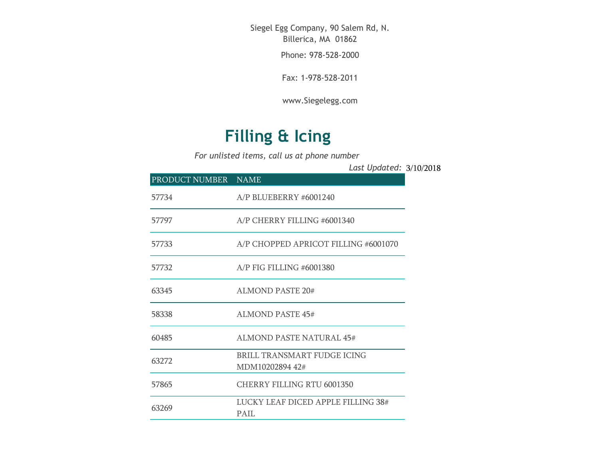Siegel Egg Company, 90 Salem Rd, N. Billerica, MA 01862

Phone: 978-528-2000

Fax: 1-978-528-2011

[www.Siegelegg.com](http://www.siegelegg.com/)

## **Filling & Icing**

*For unlisted items, call us at phone number*

3/10/2018 *Last Updated:*

| PRODUCT NUMBER NAME |                                                |
|---------------------|------------------------------------------------|
| 57734               | $A/P$ BLUEBERRY #6001240                       |
| 57797               | A/P CHERRY FILLING #6001340                    |
| 57733               | A/P CHOPPED APRICOT FILLING #6001070           |
| 57732               | $A/P$ FIG FILLING #6001380                     |
| 63345               | <b>ALMOND PASTE 20#</b>                        |
| 58338               | ALMOND PASTE 45#                               |
| 60485               | ALMOND PASTE NATURAL 45#                       |
| 63272               | BRILL TRANSMART FUDGE ICING<br>MDM10202894 42# |
| 57865               | CHERRY FILLING RTU 6001350                     |
| 63269               | LUCKY LEAF DICED APPLE FILLING 38#<br>PAIL.    |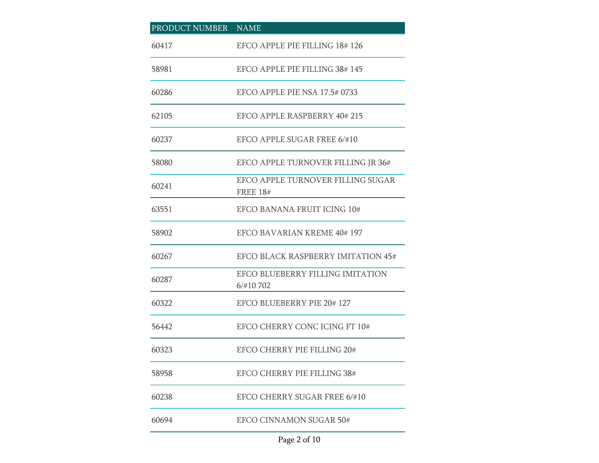| PRODUCT NUMBER NAME |                                                      |
|---------------------|------------------------------------------------------|
| 60417               | EFCO APPLE PIE FILLING 18#126                        |
| 58981               | EFCO APPLE PIE FILLING 38#145                        |
| 60286               | EFCO APPLE PIE NSA 17.5#0733                         |
| 62105               | EFCO APPLE RASPBERRY 40# 215                         |
| 60237               | EFCO APPLE SUGAR FREE 6/#10                          |
| 58080               | EFCO APPLE TURNOVER FILLING JR 36#                   |
| 60241               | EFCO APPLE TURNOVER FILLING SUGAR<br><b>FREE 18#</b> |
| 63551               | EFCO BANANA FRUIT ICING 10#                          |
| 58902               | EFCO BAVARIAN KREME 40#197                           |
| 60267               | EFCO BLACK RASPBERRY IMITATION 45#                   |
| 60287               | EFCO BLUEBERRY FILLING IMITATION<br>6/#10 702        |
| 60322               | EFCO BLUEBERRY PIE 20# 127                           |
| 56442               | EFCO CHERRY CONC ICING FT 10#                        |
| 60323               | <b>EFCO CHERRY PIE FILLING 20#</b>                   |
| 58958               | <b>EFCO CHERRY PIE FILLING 38#</b>                   |
| 60238               | EFCO CHERRY SUGAR FREE 6/#10                         |
| 60694               | EFCO CINNAMON SUGAR 50#                              |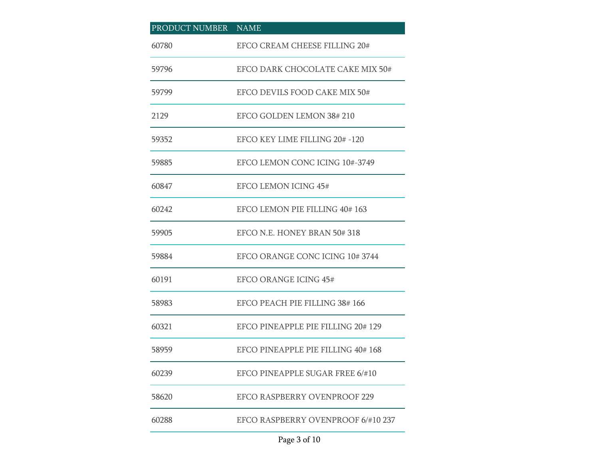| PRODUCT NUMBER NAME |                                     |
|---------------------|-------------------------------------|
| 60780               | EFCO CREAM CHEESE FILLING 20#       |
| 59796               | EFCO DARK CHOCOLATE CAKE MIX 50#    |
| 59799               | EFCO DEVILS FOOD CAKE MIX 50#       |
| 2129                | EFCO GOLDEN LEMON 38#210            |
| 59352               | EFCO KEY LIME FILLING 20# -120      |
| 59885               | EFCO LEMON CONC ICING 10#-3749      |
| 60847               | <b>EFCO LEMON ICING 45#</b>         |
| 60242               | EFCO LEMON PIE FILLING 40#163       |
| 59905               | EFCO N.E. HONEY BRAN 50#318         |
| 59884               | EFCO ORANGE CONC ICING 10#3744      |
| 60191               | EFCO ORANGE ICING 45#               |
| 58983               | EFCO PEACH PIE FILLING 38#166       |
| 60321               | EFCO PINEAPPLE PIE FILLING 20# 129  |
| 58959               | EFCO PINEAPPLE PIE FILLING 40#168   |
| 60239               | EFCO PINEAPPLE SUGAR FREE 6/#10     |
| 58620               | <b>EFCO RASPBERRY OVENPROOF 229</b> |
| 60288               | EFCO RASPBERRY OVENPROOF 6/#10 237  |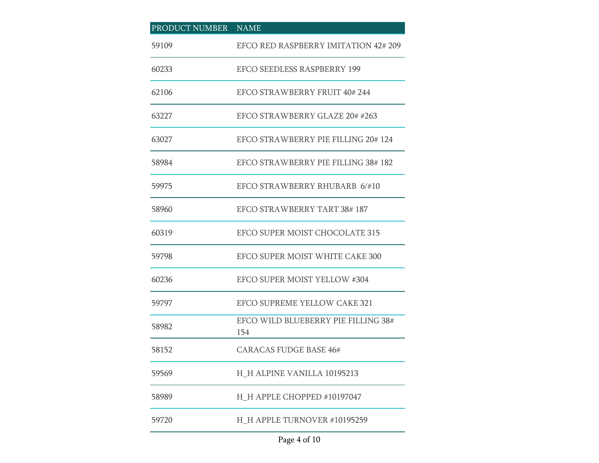| PRODUCT NUMBER NAME |                                            |
|---------------------|--------------------------------------------|
| 59109               | EFCO RED RASPBERRY IMITATION 42#209        |
| 60233               | <b>EFCO SEEDLESS RASPBERRY 199</b>         |
| 62106               | EFCO STRAWBERRY FRUIT 40#244               |
| 63227               | EFCO STRAWBERRY GLAZE 20# #263             |
| 63027               | EFCO STRAWBERRY PIE FILLING 20# 124        |
| 58984               | EFCO STRAWBERRY PIE FILLING 38#182         |
| 59975               | EFCO STRAWBERRY RHUBARB 6/#10              |
| 58960               | <b>EFCO STRAWBERRY TART 38#187</b>         |
| 60319               | EFCO SUPER MOIST CHOCOLATE 315             |
| 59798               | EFCO SUPER MOIST WHITE CAKE 300            |
| 60236               | EFCO SUPER MOIST YELLOW #304               |
| 59797               | <b>EFCO SUPREME YELLOW CAKE 321</b>        |
| 58982               | EFCO WILD BLUEBERRY PIE FILLING 38#<br>154 |
| 58152               | <b>CARACAS FUDGE BASE 46#</b>              |
| 59569               | H_H ALPINE VANILLA 10195213                |
| 58989               | H H APPLE CHOPPED #10197047                |
| 59720               | H H APPLE TURNOVER #10195259               |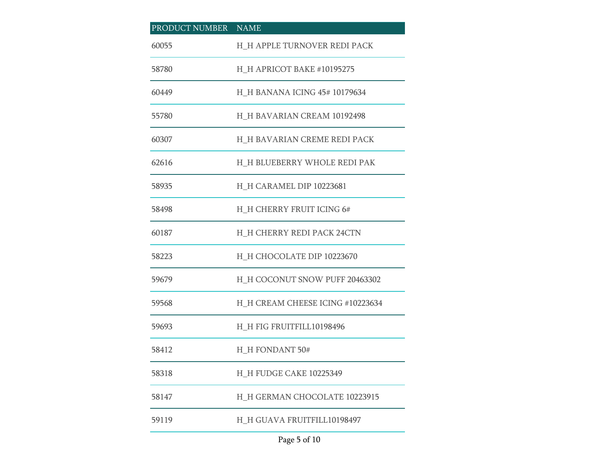| PRODUCT NUMBER NAME |                                      |
|---------------------|--------------------------------------|
| 60055               | H H APPLE TURNOVER REDI PACK         |
| 58780               | H_H APRICOT BAKE #10195275           |
| 60449               | <b>H</b> H BANANA ICING 45# 10179634 |
| 55780               | H H BAVARIAN CREAM 10192498          |
| 60307               | H_H BAVARIAN CREME REDI PACK         |
| 62616               | H_H BLUEBERRY WHOLE REDI PAK         |
| 58935               | H_H CARAMEL DIP 10223681             |
| 58498               | H_H CHERRY FRUIT ICING 6#            |
| 60187               | H H CHERRY REDI PACK 24CTN           |
| 58223               | H H CHOCOLATE DIP 10223670           |
| 59679               | H_H COCONUT SNOW PUFF 20463302       |
| 59568               | H_H CREAM CHEESE ICING #10223634     |
| 59693               | H_H FIG FRUITFILL10198496            |
| 58412               | H H FONDANT 50#                      |
| 58318               | H H FUDGE CAKE 10225349              |
| 58147               | H_H GERMAN CHOCOLATE 10223915        |
| 59119               | H_H GUAVA FRUITFILL10198497          |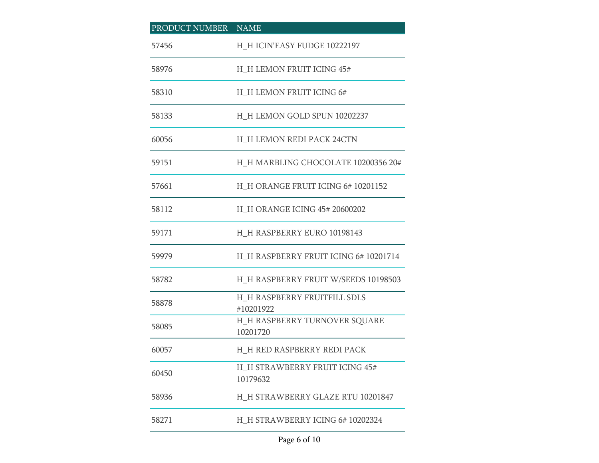| PRODUCT NUMBER | <b>NAME</b>                                      |
|----------------|--------------------------------------------------|
| 57456          | H_H ICIN'EASY FUDGE 10222197                     |
| 58976          | H_H LEMON FRUIT ICING 45#                        |
| 58310          | <b>H_H LEMON FRUIT ICING 6#</b>                  |
| 58133          | H H LEMON GOLD SPUN 10202237                     |
| 60056          | <b>H_H LEMON REDI PACK 24CTN</b>                 |
| 59151          | H_H MARBLING CHOCOLATE 10200356 20#              |
| 57661          | H H ORANGE FRUIT ICING 6#10201152                |
| 58112          | H H ORANGE ICING 45# 20600202                    |
| 59171          | H_H RASPBERRY EURO 10198143                      |
| 59979          | H_H RASPBERRY FRUIT ICING 6# 10201714            |
| 58782          | H_H RASPBERRY FRUIT W/SEEDS 10198503             |
| 58878          | H H RASPBERRY FRUITFILL SDLS<br>#10201922        |
| 58085          | <b>H_H RASPBERRY TURNOVER SQUARE</b><br>10201720 |
| 60057          | H H RED RASPBERRY REDI PACK                      |
| 60450          | H_H STRAWBERRY FRUIT ICING 45#<br>10179632       |
| 58936          | H_H STRAWBERRY GLAZE RTU 10201847                |
| 58271          | H H STRAWBERRY ICING 6#10202324                  |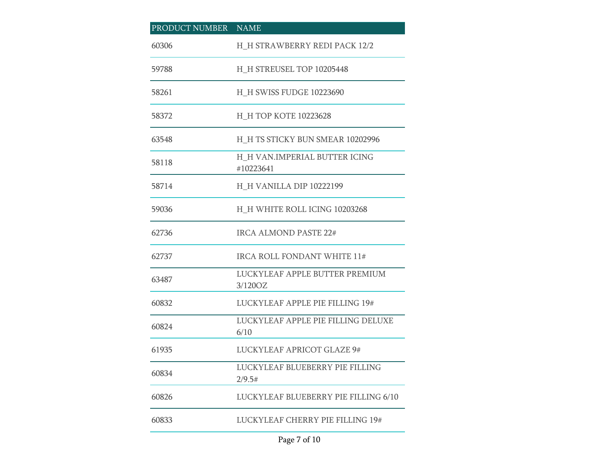| PRODUCT NUMBER NAME |                                            |
|---------------------|--------------------------------------------|
| 60306               | H H STRAWBERRY REDI PACK 12/2              |
| 59788               | H_H STREUSEL TOP 10205448                  |
| 58261               | <b>H_H SWISS FUDGE 10223690</b>            |
| 58372               | H H TOP KOTE 10223628                      |
| 63548               | H H TS STICKY BUN SMEAR 10202996           |
| 58118               | H_H VAN.IMPERIAL BUTTER ICING<br>#10223641 |
| 58714               | H_H VANILLA DIP 10222199                   |
| 59036               | H H WHITE ROLL ICING 10203268              |
| 62736               | IRCA ALMOND PASTE 22#                      |
| 62737               | IRCA ROLL FONDANT WHITE 11#                |
| 63487               | LUCKYLEAF APPLE BUTTER PREMIUM<br>3/120OZ  |
| 60832               | LUCKYLEAF APPLE PIE FILLING 19#            |
| 60824               | LUCKYLEAF APPLE PIE FILLING DELUXE<br>6/10 |
| 61935               | <b>LUCKYLEAF APRICOT GLAZE 9#</b>          |
| 60834               | LUCKYLEAF BLUEBERRY PIE FILLING<br>2/9.5#  |
| 60826               | LUCKYLEAF BLUEBERRY PIE FILLING 6/10       |
| 60833               | LUCKYLEAF CHERRY PIE FILLING 19#           |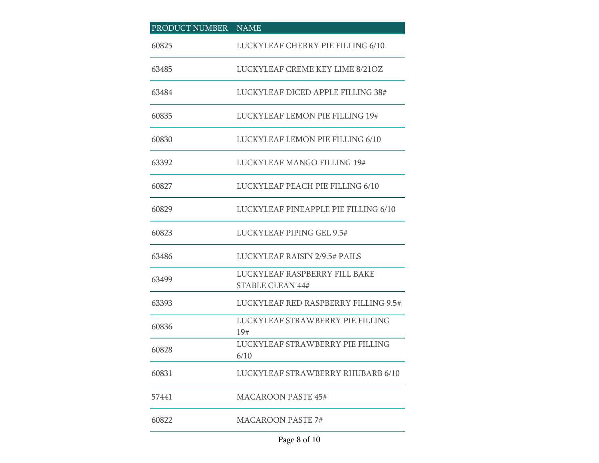| PRODUCT NUMBER NAME |                                                          |
|---------------------|----------------------------------------------------------|
| 60825               | LUCKYLEAF CHERRY PIE FILLING 6/10                        |
| 63485               | LUCKYLEAF CREME KEY LIME 8/21OZ                          |
| 63484               | LUCKYLEAF DICED APPLE FILLING 38#                        |
| 60835               | <b>LUCKYLEAF LEMON PIE FILLING 19#</b>                   |
| 60830               | LUCKYLEAF LEMON PIE FILLING 6/10                         |
| 63392               | LUCKYLEAF MANGO FILLING 19#                              |
| 60827               | LUCKYLEAF PEACH PIE FILLING 6/10                         |
| 60829               | LUCKYLEAF PINEAPPLE PIE FILLING 6/10                     |
| 60823               | LUCKYLEAF PIPING GEL 9.5#                                |
| 63486               | <b>LUCKYLEAF RAISIN 2/9.5# PAILS</b>                     |
| 63499               | LUCKYLEAF RASPBERRY FILL BAKE<br><b>STABLE CLEAN 44#</b> |
| 63393               | LUCKYLEAF RED RASPBERRY FILLING 9.5#                     |
| 60836               | LUCKYLEAF STRAWBERRY PIE FILLING<br>19#                  |
| 60828               | LUCKYLEAF STRAWBERRY PIE FILLING<br>6/10                 |
| 60831               | LUCKYLEAF STRAWBERRY RHUBARB 6/10                        |
| 57441               | <b>MACAROON PASTE 45#</b>                                |
| 60822               | <b>MACAROON PASTE 7#</b>                                 |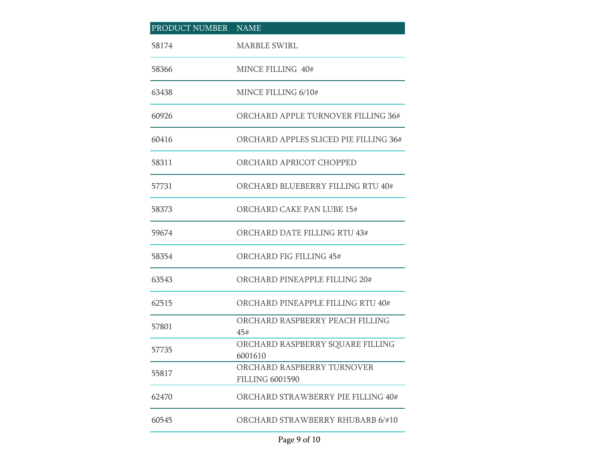| PRODUCT NUMBER NAME |                                                      |
|---------------------|------------------------------------------------------|
| 58174               | <b>MARBLE SWIRL</b>                                  |
| 58366               | MINCE FILLING 40#                                    |
| 63438               | MINCE FILLING 6/10#                                  |
| 60926               | ORCHARD APPLE TURNOVER FILLING 36#                   |
| 60416               | ORCHARD APPLES SLICED PIE FILLING 36#                |
| 58311               | ORCHARD APRICOT CHOPPED                              |
| 57731               | ORCHARD BLUEBERRY FILLING RTU 40#                    |
| 58373               | ORCHARD CAKE PAN LUBE 15#                            |
| 59674               | ORCHARD DATE FILLING RTU 43#                         |
| 58354               | ORCHARD FIG FILLING 45#                              |
| 63543               | ORCHARD PINEAPPLE FILLING 20#                        |
| 62515               | ORCHARD PINEAPPLE FILLING RTU 40#                    |
| 57801               | ORCHARD RASPBERRY PEACH FILLING<br>45#               |
| 57735               | ORCHARD RASPBERRY SQUARE FILLING<br>6001610          |
| 55817               | ORCHARD RASPBERRY TURNOVER<br><b>FILLING 6001590</b> |
| 62470               | ORCHARD STRAWBERRY PIE FILLING 40#                   |
| 60545               | ORCHARD STRAWBERRY RHUBARB 6/#10                     |